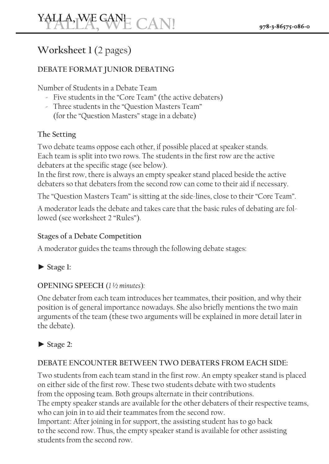# **Worksheet** 1 (2 pages)

## **DEBATE FORMAT JUNIOR DEBATING**

Number of Students in a Debate Team

- $\sim$  Five students in the "Core Team" (the active debaters)
- Three students in the "Question Masters Team" (for the "Question Masters" stage in a debate)

## **Setting The**

Two debate teams oppose each other, if possible placed at speaker stands. Each team is split into two rows. The students in the first row are the active debaters at the specific stage (see below).

In the first row, there is always an empty speaker stand placed beside the active debaters so that debaters from the second row can come to their aid if necessary.

The "Question Masters Team" is sitting at the side-lines, close to their "Core Team".

A moderator leads the debate and takes care that the basic rules of debating are fol-<br>lowed (see worksheet 2 "Rules").

#### **Stages of a Debate Competition**

A moderator guides the teams through the following debate stages:



# *OPENING SPEECH* (1½ minutes):

One debater from each team introduces her teammates, their position, and why their position is of general importance nowadays. She also briefly mentions the two main arguments of the team (these two arguments will be explained in more detail later in the debate).

# **2: Stage►**

# DEBATE ENCOUNTER BETWEEN TWO DEBATERS FROM EACH SIDE:

Two students from each team stand in the first row. An empty speaker stand is placed on either side of the first row. These two students debate with two students from the opposing team. Both groups alternate in their contributions. The empty speaker stands are available for the other debaters of their respective teams, who can join in to aid their teammates from the second row. Important: After joining in for support, the assisting student has to go back to the second row. Thus, the empty speaker stand is available for other assisting students from the second row